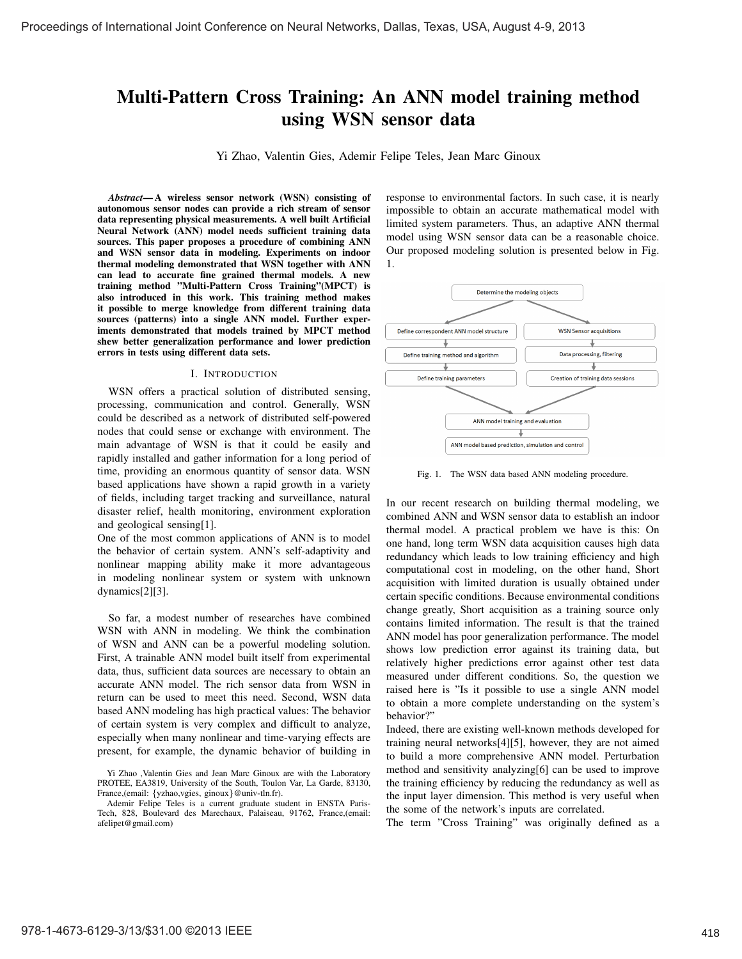# **Multi-Pattern Cross Training: An ANN model training method using WSN sensor data**

Yi Zhao, Valentin Gies, Ademir Felipe Teles, Jean Marc Ginoux

*Abstract***— A wireless sensor network (WSN) consisting of autonomous sensor nodes can provide a rich stream of sensor data representing physical measurements. A well built Artificial Neural Network (ANN) model needs sufficient training data sources. This paper proposes a procedure of combining ANN and WSN sensor data in modeling. Experiments on indoor thermal modeling demonstrated that WSN together with ANN can lead to accurate fine grained thermal models. A new training method "Multi-Pattern Cross Training"(MPCT) is also introduced in this work. This training method makes it possible to merge knowledge from different training data sources (patterns) into a single ANN model. Further experiments demonstrated that models trained by MPCT method shew better generalization performance and lower prediction errors in tests using different data sets.**

## I. INTRODUCTION

WSN offers a practical solution of distributed sensing, processing, communication and control. Generally, WSN could be described as a network of distributed self-powered nodes that could sense or exchange with environment. The main advantage of WSN is that it could be easily and rapidly installed and gather information for a long period of time, providing an enormous quantity of sensor data. WSN based applications have shown a rapid growth in a variety of fields, including target tracking and surveillance, natural disaster relief, health monitoring, environment exploration and geological sensing[1].

One of the most common applications of ANN is to model the behavior of certain system. ANN's self-adaptivity and nonlinear mapping ability make it more advantageous in modeling nonlinear system or system with unknown dynamics[2][3].

So far, a modest number of researches have combined WSN with ANN in modeling. We think the combination of WSN and ANN can be a powerful modeling solution. First, A trainable ANN model built itself from experimental data, thus, sufficient data sources are necessary to obtain an accurate ANN model. The rich sensor data from WSN in return can be used to meet this need. Second, WSN data based ANN modeling has high practical values: The behavior of certain system is very complex and difficult to analyze, especially when many nonlinear and time-varying effects are present, for example, the dynamic behavior of building in response to environmental factors. In such case, it is nearly impossible to obtain an accurate mathematical model with limited system parameters. Thus, an adaptive ANN thermal model using WSN sensor data can be a reasonable choice. Our proposed modeling solution is presented below in Fig. 1.



Fig. 1. The WSN data based ANN modeling procedure.

In our recent research on building thermal modeling, we combined ANN and WSN sensor data to establish an indoor thermal model. A practical problem we have is this: On one hand, long term WSN data acquisition causes high data redundancy which leads to low training efficiency and high computational cost in modeling, on the other hand, Short acquisition with limited duration is usually obtained under certain specific conditions. Because environmental conditions change greatly, Short acquisition as a training source only contains limited information. The result is that the trained ANN model has poor generalization performance. The model shows low prediction error against its training data, but relatively higher predictions error against other test data measured under different conditions. So, the question we raised here is "Is it possible to use a single ANN model to obtain a more complete understanding on the system's behavior?"

Indeed, there are existing well-known methods developed for training neural networks[4][5], however, they are not aimed to build a more comprehensive ANN model. Perturbation method and sensitivity analyzing[6] can be used to improve the training efficiency by reducing the redundancy as well as the input layer dimension. This method is very useful when the some of the network's inputs are correlated.

The term "Cross Training" was originally defined as a

Yi Zhao ,Valentin Gies and Jean Marc Ginoux are with the Laboratory PROTEE, EA3819, University of the South, Toulon Var, La Garde, 83130, France,(email: {yzhao,vgies, ginoux}@univ-tln.fr).

Ademir Felipe Teles is a current graduate student in ENSTA Paris-Tech, 828, Boulevard des Marechaux, Palaiseau, 91762, France,(email: afelipet@gmail.com)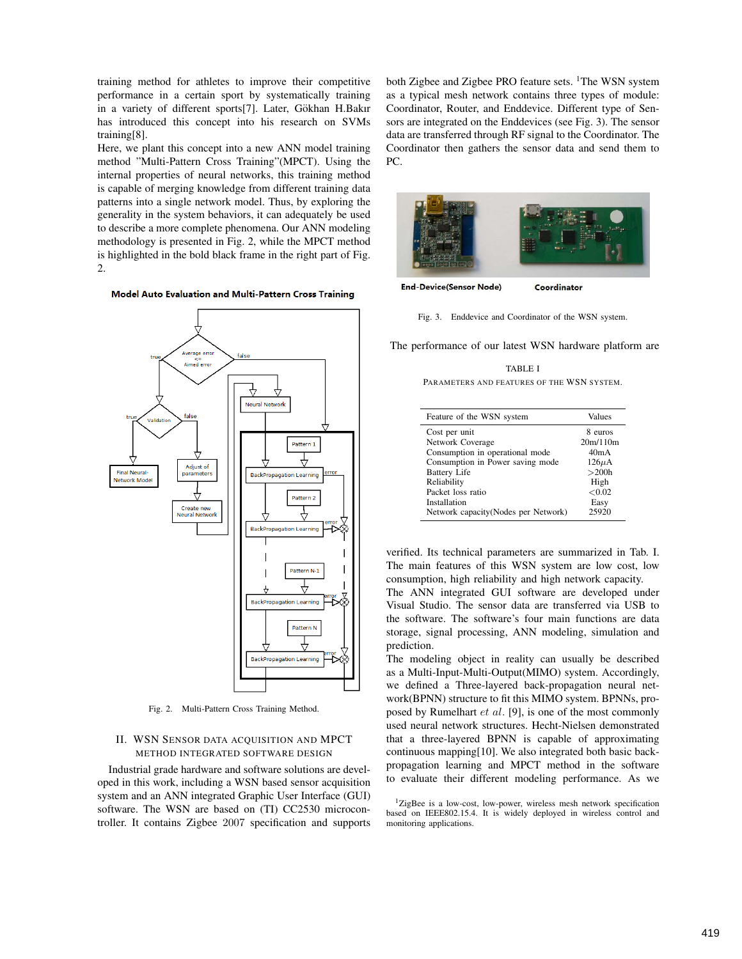training method for athletes to improve their competitive performance in a certain sport by systematically training in a variety of different sports[7]. Later, Gökhan H.Bakır has introduced this concept into his research on SVMs training[8].

Here, we plant this concept into a new ANN model training method "Multi-Pattern Cross Training"(MPCT). Using the internal properties of neural networks, this training method is capable of merging knowledge from different training data patterns into a single network model. Thus, by exploring the generality in the system behaviors, it can adequately be used to describe a more complete phenomena. Our ANN modeling methodology is presented in Fig. 2, while the MPCT method is highlighted in the bold black frame in the right part of Fig. 2.

Model Auto Evaluation and Multi-Pattern Cross Training



Fig. 2. Multi-Pattern Cross Training Method.

## II. WSN SENSOR DATA ACQUISITION AND MPCT METHOD INTEGRATED SOFTWARE DESIGN

Industrial grade hardware and software solutions are developed in this work, including a WSN based sensor acquisition system and an ANN integrated Graphic User Interface (GUI) software. The WSN are based on (TI) CC2530 microcontroller. It contains Zigbee 2007 specification and supports both Zigbee and Zigbee PRO feature sets. <sup>1</sup>The WSN system as a typical mesh network contains three types of module: Coordinator, Router, and Enddevice. Different type of Sensors are integrated on the Enddevices (see Fig. 3). The sensor data are transferred through RF signal to the Coordinator. The Coordinator then gathers the sensor data and send them to PC.



Fig. 3. Enddevice and Coordinator of the WSN system.

The performance of our latest WSN hardware platform are

TABLE I PARAMETERS AND FEATURES OF THE WSN SYSTEM.

| Feature of the WSN system            | Values     |
|--------------------------------------|------------|
| Cost per unit                        | 8 euros    |
| Network Coverage                     | 20m/110m   |
| Consumption in operational mode      | 40mA       |
| Consumption in Power saving mode     | $126\mu$ A |
| <b>Battery Life</b>                  | >200h      |
| Reliability                          | High       |
| Packet loss ratio                    | ${<}0.02$  |
| Installation                         | Easy       |
| Network capacity (Nodes per Network) | 25920      |

verified. Its technical parameters are summarized in Tab. I. The main features of this WSN system are low cost, low consumption, high reliability and high network capacity.

The ANN integrated GUI software are developed under Visual Studio. The sensor data are transferred via USB to the software. The software's four main functions are data storage, signal processing, ANN modeling, simulation and prediction.

The modeling object in reality can usually be described as a Multi-Input-Multi-Output(MIMO) system. Accordingly, we defined a Three-layered back-propagation neural network(BPNN) structure to fit this MIMO system. BPNNs, proposed by Rumelhart  $et al. [9]$ , is one of the most commonly used neural network structures. Hecht-Nielsen demonstrated that a three-layered BPNN is capable of approximating continuous mapping[10]. We also integrated both basic backpropagation learning and MPCT method in the software to evaluate their different modeling performance. As we

 $1$ ZigBee is a low-cost, low-power, wireless mesh network specification based on IEEE802.15.4. It is widely deployed in wireless control and monitoring applications.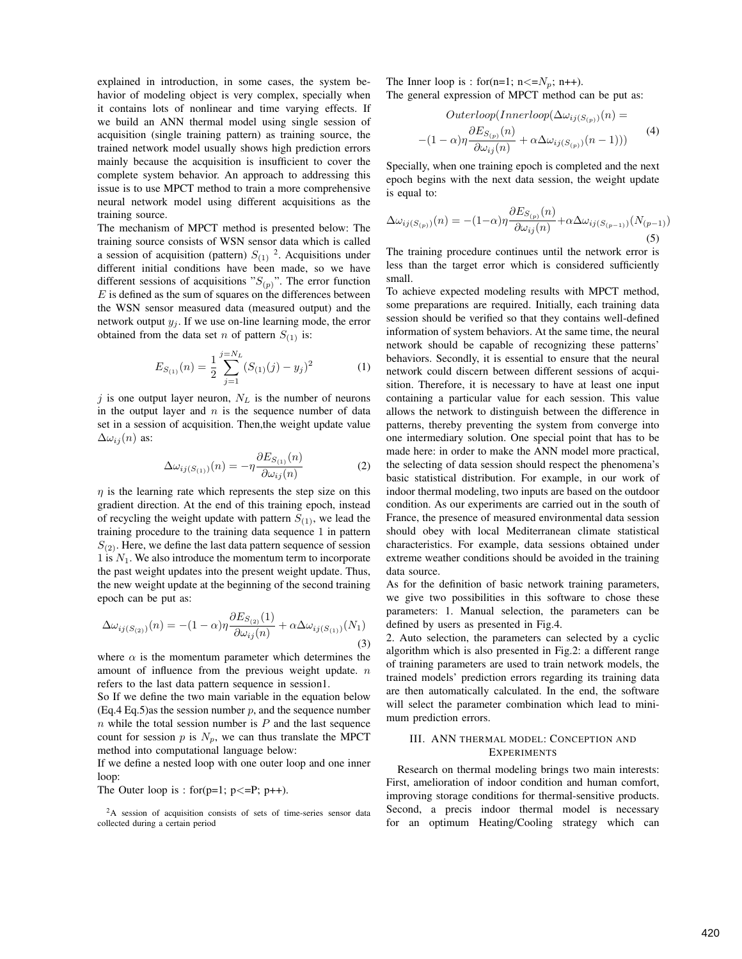explained in introduction, in some cases, the system behavior of modeling object is very complex, specially when it contains lots of nonlinear and time varying effects. If we build an ANN thermal model using single session of acquisition (single training pattern) as training source, the trained network model usually shows high prediction errors mainly because the acquisition is insufficient to cover the complete system behavior. An approach to addressing this issue is to use MPCT method to train a more comprehensive neural network model using different acquisitions as the training source.

The mechanism of MPCT method is presented below: The training source consists of WSN sensor data which is called a session of acquisition (pattern)  $S_{(1)}$  <sup>2</sup>. Acquisitions under different initial conditions have been made, so we have different sessions of acquisitions " $S_{(p)}$ ". The error function  $E$  is defined as the sum of squares on the differences between the WSN sensor measured data (measured output) and the network output  $y_i$ . If we use on-line learning mode, the error obtained from the data set *n* of pattern  $S_{(1)}$  is:

$$
E_{S_{(1)}}(n) = \frac{1}{2} \sum_{j=1}^{j=N_L} (S_{(1)}(j) - y_j)^2
$$
 (1)

j is one output layer neuron,  $N_L$  is the number of neurons in the output layer and  $n$  is the sequence number of data set in a session of acquisition. Then,the weight update value  $\Delta \omega_{ij}(n)$  as:

$$
\Delta \omega_{ij(S_{(1)})}(n) = -\eta \frac{\partial E_{S_{(1)}}(n)}{\partial \omega_{ij}(n)}\tag{2}
$$

 $\eta$  is the learning rate which represents the step size on this gradient direction. At the end of this training epoch, instead of recycling the weight update with pattern  $S_{(1)}$ , we lead the training procedure to the training data sequence 1 in pattern  $S<sub>(2)</sub>$ . Here, we define the last data pattern sequence of session 1 is  $N_1$ . We also introduce the momentum term to incorporate the past weight updates into the present weight update. Thus, the new weight update at the beginning of the second training epoch can be put as:

$$
\Delta\omega_{ij(S_{(2)})}(n) = -(1-\alpha)\eta \frac{\partial E_{S_{(2)}}(1)}{\partial \omega_{ij}(n)} + \alpha \Delta\omega_{ij(S_{(1)})}(N_1)
$$
\n(3)

where  $\alpha$  is the momentum parameter which determines the amount of influence from the previous weight update.  $n$ refers to the last data pattern sequence in session1.

So If we define the two main variable in the equation below  $(Eq.4 Eq.5)$ as the session number p, and the sequence number  $n$  while the total session number is  $P$  and the last sequence count for session  $p$  is  $N_p$ , we can thus translate the MPCT method into computational language below:

If we define a nested loop with one outer loop and one inner loop:

The Outer loop is : for  $(p=1; p \le P; p++)$ .

2A session of acquisition consists of sets of time-series sensor data collected during a certain period

The Inner loop is : for(n=1;  $n \le N_p$ ; n++).

The general expression of MPCT method can be put as:

$$
Outerloop(Innerloop(\Delta\omega_{ij(S_{(p)})}(n)) = - (1 - \alpha)\eta \frac{\partial E_{S_{(p)}}(n)}{\partial \omega_{ij}(n)} + \alpha \Delta \omega_{ij(S_{(p)})}(n - 1)))
$$
(4)

Specially, when one training epoch is completed and the next epoch begins with the next data session, the weight update is equal to:

$$
\Delta \omega_{ij(S_{(p)})}(n) = -(1-\alpha)\eta \frac{\partial E_{S_{(p)}}(n)}{\partial \omega_{ij}(n)} + \alpha \Delta \omega_{ij(S_{(p-1)})}(N_{(p-1)})
$$
\n(5)

The training procedure continues until the network error is less than the target error which is considered sufficiently small.

To achieve expected modeling results with MPCT method, some preparations are required. Initially, each training data session should be verified so that they contains well-defined information of system behaviors. At the same time, the neural network should be capable of recognizing these patterns' behaviors. Secondly, it is essential to ensure that the neural network could discern between different sessions of acquisition. Therefore, it is necessary to have at least one input containing a particular value for each session. This value allows the network to distinguish between the difference in patterns, thereby preventing the system from converge into one intermediary solution. One special point that has to be made here: in order to make the ANN model more practical, the selecting of data session should respect the phenomena's basic statistical distribution. For example, in our work of indoor thermal modeling, two inputs are based on the outdoor condition. As our experiments are carried out in the south of France, the presence of measured environmental data session should obey with local Mediterranean climate statistical characteristics. For example, data sessions obtained under extreme weather conditions should be avoided in the training data source.

As for the definition of basic network training parameters, we give two possibilities in this software to chose these parameters: 1. Manual selection, the parameters can be defined by users as presented in Fig.4.

2. Auto selection, the parameters can selected by a cyclic algorithm which is also presented in Fig.2: a different range of training parameters are used to train network models, the trained models' prediction errors regarding its training data are then automatically calculated. In the end, the software will select the parameter combination which lead to minimum prediction errors.

## III. ANN THERMAL MODEL: CONCEPTION AND **EXPERIMENTS**

Research on thermal modeling brings two main interests: First, amelioration of indoor condition and human comfort, improving storage conditions for thermal-sensitive products. Second, a precis indoor thermal model is necessary for an optimum Heating/Cooling strategy which can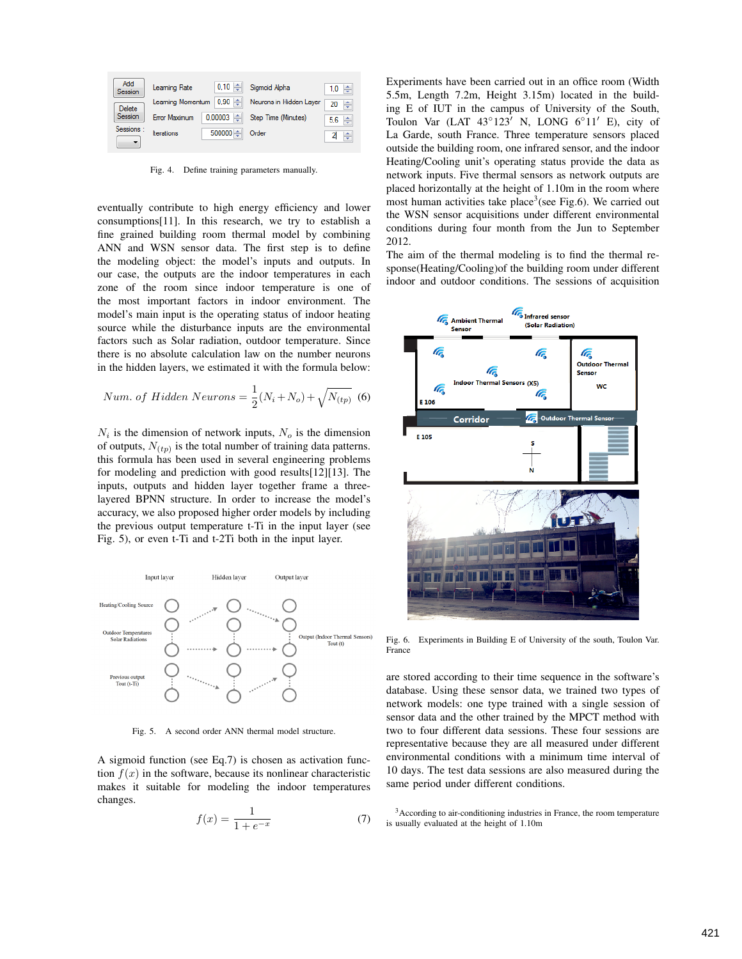| Add<br>Session<br>Delete | Leaming Rate<br>Leaming Momentum | 0,10<br>0.90  | Sigmoid Alpha<br>Neurons in Hidden Layer | 1.0<br>20 | ÷<br>÷ |
|--------------------------|----------------------------------|---------------|------------------------------------------|-----------|--------|
| Session                  | Error Maximum                    | 0.00003       | Step Time (Minutes)                      | 5.6       | ÷      |
| Sessions:                | <b>Iterations</b>                | $500000 \div$ | Order                                    |           | ᇫ<br>₹ |

Fig. 4. Define training parameters manually.

eventually contribute to high energy efficiency and lower consumptions[11]. In this research, we try to establish a fine grained building room thermal model by combining ANN and WSN sensor data. The first step is to define the modeling object: the model's inputs and outputs. In our case, the outputs are the indoor temperatures in each zone of the room since indoor temperature is one of the most important factors in indoor environment. The model's main input is the operating status of indoor heating source while the disturbance inputs are the environmental factors such as Solar radiation, outdoor temperature. Since there is no absolute calculation law on the number neurons in the hidden layers, we estimated it with the formula below:

*Num. of Hidden Neurons* = 
$$
\frac{1}{2}(N_i + N_o) + \sqrt{N_{(tp)}}
$$
 (6)

 $N_i$  is the dimension of network inputs,  $N_o$  is the dimension of outputs,  $N_{(tp)}$  is the total number of training data patterns. this formula has been used in several engineering problems for modeling and prediction with good results[12][13]. The inputs, outputs and hidden layer together frame a threelayered BPNN structure. In order to increase the model's accuracy, we also proposed higher order models by including the previous output temperature t-Ti in the input layer (see Fig. 5), or even t-Ti and t-2Ti both in the input layer.



Fig. 5. A second order ANN thermal model structure.

A sigmoid function (see Eq.7) is chosen as activation function  $f(x)$  in the software, because its nonlinear characteristic makes it suitable for modeling the indoor temperatures changes.

$$
f(x) = \frac{1}{1 + e^{-x}}
$$
 (7)

Experiments have been carried out in an office room (Width 5.5m, Length 7.2m, Height 3.15m) located in the building E of IUT in the campus of University of the South, Toulon Var (LAT 43∘123′ N, LONG 6∘11′ E), city of La Garde, south France. Three temperature sensors placed outside the building room, one infrared sensor, and the indoor Heating/Cooling unit's operating status provide the data as network inputs. Five thermal sensors as network outputs are placed horizontally at the height of 1.10m in the room where most human activities take place<sup>3</sup>(see Fig.6). We carried out the WSN sensor acquisitions under different environmental conditions during four month from the Jun to September 2012.

The aim of the thermal modeling is to find the thermal response(Heating/Cooling)of the building room under different indoor and outdoor conditions. The sessions of acquisition



Fig. 6. Experiments in Building E of University of the south, Toulon Var. France

are stored according to their time sequence in the software's database. Using these sensor data, we trained two types of network models: one type trained with a single session of sensor data and the other trained by the MPCT method with two to four different data sessions. These four sessions are representative because they are all measured under different environmental conditions with a minimum time interval of 10 days. The test data sessions are also measured during the same period under different conditions.

<sup>3</sup> According to air-conditioning industries in France, the room temperature is usually evaluated at the height of 1.10m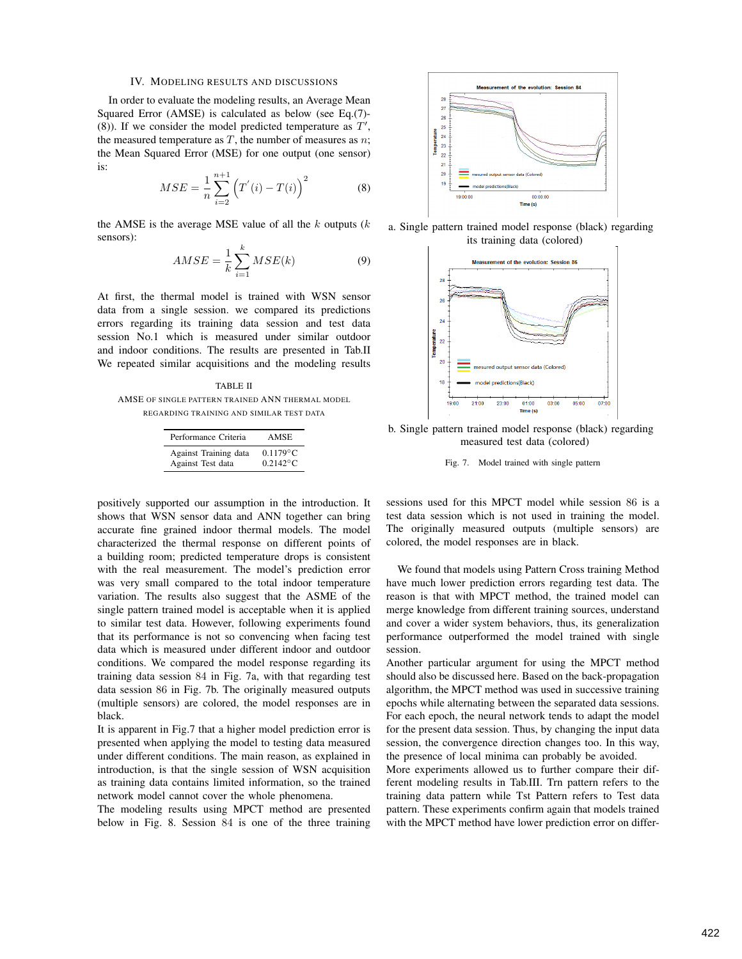#### IV. MODELING RESULTS AND DISCUSSIONS

In order to evaluate the modeling results, an Average Mean Squared Error (AMSE) is calculated as below (see Eq.(7)- (8)). If we consider the model predicted temperature as  $T'$ , the measured temperature as  $T$ , the number of measures as  $n$ ; the Mean Squared Error (MSE) for one output (one sensor) is:

$$
MSE = \frac{1}{n} \sum_{i=2}^{n+1} (T^{'}(i) - T(i))^{2}
$$
 (8)

the AMSE is the average MSE value of all the  $k$  outputs  $(k)$ sensors):

$$
AMSE = \frac{1}{k} \sum_{i=1}^{k} MSE(k)
$$
\n(9)

At first, the thermal model is trained with WSN sensor data from a single session. we compared its predictions errors regarding its training data session and test data session No.1 which is measured under similar outdoor and indoor conditions. The results are presented in Tab.II We repeated similar acquisitions and the modeling results

TABLE II AMSE OF SINGLE PATTERN TRAINED ANN THERMAL MODEL REGARDING TRAINING AND SIMILAR TEST DATA

| Performance Criteria  | <b>AMSE</b> |
|-----------------------|-------------|
| Against Training data | $0.1179$ °C |
| Against Test data     | $0.2142$ °C |

positively supported our assumption in the introduction. It shows that WSN sensor data and ANN together can bring accurate fine grained indoor thermal models. The model characterized the thermal response on different points of a building room; predicted temperature drops is consistent with the real measurement. The model's prediction error was very small compared to the total indoor temperature variation. The results also suggest that the ASME of the single pattern trained model is acceptable when it is applied to similar test data. However, following experiments found that its performance is not so convencing when facing test data which is measured under different indoor and outdoor conditions. We compared the model response regarding its training data session 84 in Fig. 7a, with that regarding test data session 86 in Fig. 7b. The originally measured outputs (multiple sensors) are colored, the model responses are in black.

It is apparent in Fig.7 that a higher model prediction error is presented when applying the model to testing data measured under different conditions. The main reason, as explained in introduction, is that the single session of WSN acquisition as training data contains limited information, so the trained network model cannot cover the whole phenomena.

The modeling results using MPCT method are presented below in Fig. 8. Session 84 is one of the three training



a. Single pattern trained model response (black) regarding its training data (colored)



b. Single pattern trained model response (black) regarding measured test data (colored)

Fig. 7. Model trained with single pattern

sessions used for this MPCT model while session 86 is a test data session which is not used in training the model. The originally measured outputs (multiple sensors) are colored, the model responses are in black.

We found that models using Pattern Cross training Method have much lower prediction errors regarding test data. The reason is that with MPCT method, the trained model can merge knowledge from different training sources, understand and cover a wider system behaviors, thus, its generalization performance outperformed the model trained with single session.

Another particular argument for using the MPCT method should also be discussed here. Based on the back-propagation algorithm, the MPCT method was used in successive training epochs while alternating between the separated data sessions. For each epoch, the neural network tends to adapt the model for the present data session. Thus, by changing the input data session, the convergence direction changes too. In this way, the presence of local minima can probably be avoided.

More experiments allowed us to further compare their different modeling results in Tab.III. Trn pattern refers to the training data pattern while Tst Pattern refers to Test data pattern. These experiments confirm again that models trained with the MPCT method have lower prediction error on differ-